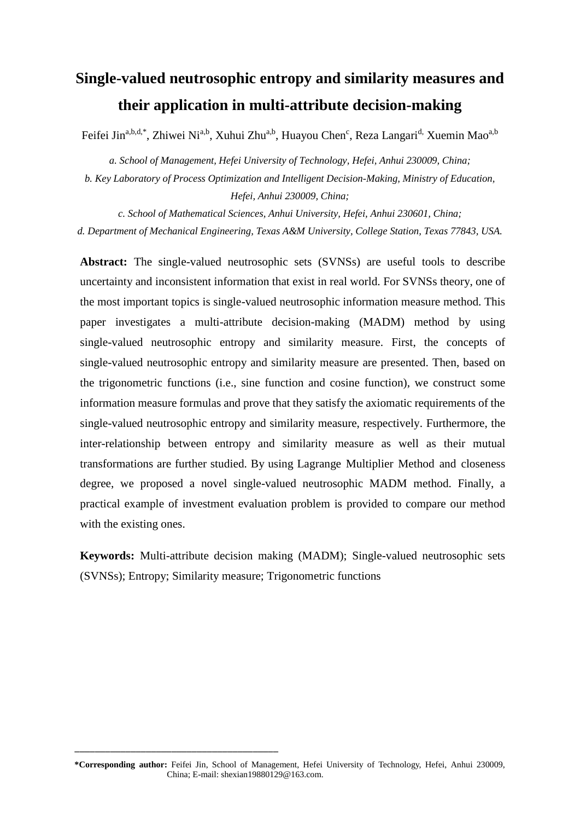# **Single-valued neutrosophic entropy and similarity measures and their application in multi-attribute decision-making**

Feifei Jin<sup>a,b,d,\*</sup>, Zhiwei Ni<sup>a,b</sup>, Xuhui Zhu<sup>a,b</sup>, Huayou Chen<sup>c</sup>, Reza Langari<sup>d,</sup> Xuemin Mao<sup>a,b</sup>

*a. School of Management, Hefei University of Technology, Hefei, Anhui 230009, China;*

*b. Key Laboratory of Process Optimization and Intelligent Decision-Making, Ministry of Education, Hefei, Anhui 230009, China;* 

*c. School of Mathematical Sciences, Anhui University, Hefei, Anhui 230601, China; d. Department of Mechanical Engineering, Texas A&M University, College Station, Texas 77843, USA.*

**Abstract:** The single-valued neutrosophic sets (SVNSs) are useful tools to describe uncertainty and inconsistent information that exist in real world. For SVNSs theory, one of the most important topics is single-valued neutrosophic information measure method. This paper investigates a multi-attribute decision-making (MADM) method by using single-valued neutrosophic entropy and similarity measure. First, the concepts of single-valued neutrosophic entropy and similarity measure are presented. Then, based on the trigonometric functions (i.e., sine function and cosine function), we construct some information measure formulas and prove that they satisfy the axiomatic requirements of the single-valued neutrosophic entropy and similarity measure, respectively. Furthermore, the inter-relationship between entropy and similarity measure as well as their mutual transformations are further studied. By using Lagrange Multiplier Method and closeness degree, we proposed a novel single-valued neutrosophic MADM method. Finally, a practical example of investment evaluation problem is provided to compare our method with the existing ones.

**Keywords:** Multi-attribute decision making (MADM); Single-valued neutrosophic sets (SVNSs); Entropy; Similarity measure; Trigonometric functions

\_\_\_\_\_\_\_\_\_\_\_\_\_\_\_\_\_\_\_\_\_\_\_\_\_\_\_\_\_\_\_\_\_\_\_\_\_\_\_\_

**<sup>\*</sup>Corresponding author:** Feifei Jin, School of Management, Hefei University of Technology, Hefei, Anhui 230009, China; E-mail: shexian19880129@163.com.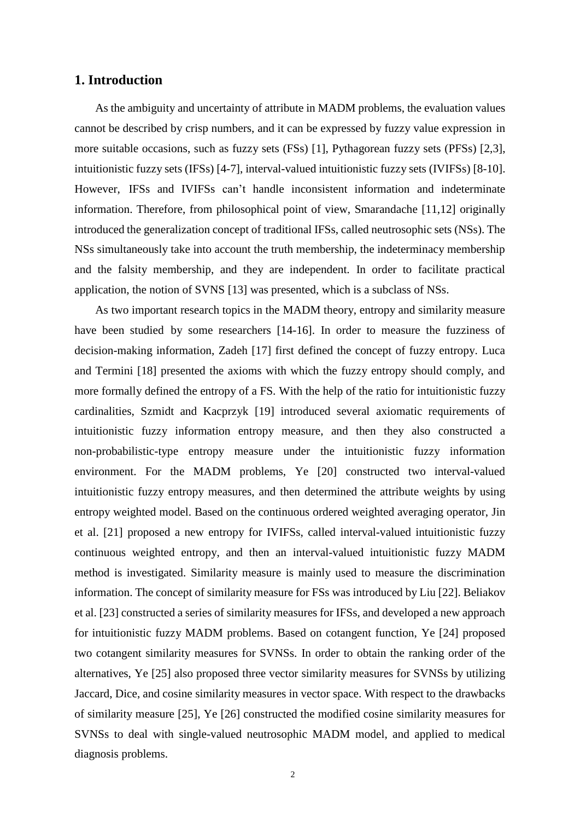# **1. Introduction**

As the ambiguity and uncertainty of attribute in MADM problems, the evaluation values cannot be described by crisp numbers, and it can be expressed by fuzzy value expression in more suitable occasions, such as fuzzy sets (FSs) [1], Pythagorean fuzzy sets (PFSs) [2,3], intuitionistic fuzzy sets (IFSs) [4-7], interval-valued intuitionistic fuzzy sets (IVIFSs) [8-10]. However, IFSs and IVIFSs can't handle inconsistent information and indeterminate information. Therefore, from philosophical point of view, Smarandache [11,12] originally introduced the generalization concept of traditional IFSs, called neutrosophic sets (NSs). The NSs simultaneously take into account the truth membership, the indeterminacy membership and the falsity membership, and they are independent. In order to facilitate practical application, the notion of SVNS [13] was presented, which is a subclass of NSs.

As two important research topics in the MADM theory, entropy and similarity measure have been studied by some researchers [14-16]. In order to measure the fuzziness of decision-making information, Zadeh [17] first defined the concept of fuzzy entropy. Luca and Termini [18] presented the axioms with which the fuzzy entropy should comply, and more formally defined the entropy of a FS. With the help of the ratio for intuitionistic fuzzy cardinalities, Szmidt and Kacprzyk [19] introduced several axiomatic requirements of intuitionistic fuzzy information entropy measure, and then they also constructed a non-probabilistic-type entropy measure under the intuitionistic fuzzy information environment. For the MADM problems, Ye [20] constructed two interval-valued intuitionistic fuzzy entropy measures, and then determined the attribute weights by using entropy weighted model. Based on the continuous ordered weighted averaging operator, Jin et al. [21] proposed a new entropy for IVIFSs, called interval-valued intuitionistic fuzzy continuous weighted entropy, and then an interval-valued intuitionistic fuzzy MADM method is investigated. Similarity measure is mainly used to measure the discrimination information. The concept of similarity measure for FSs was introduced by Liu [22]. Beliakov et al. [23] constructed a series of similarity measures for IFSs, and developed a new approach for intuitionistic fuzzy MADM problems. Based on cotangent function, Ye [24] proposed two cotangent similarity measures for SVNSs. In order to obtain the ranking order of the alternatives, Ye [25] also proposed three vector similarity measures for SVNSs by utilizing Jaccard, Dice, and cosine similarity measures in vector space. With respect to the drawbacks of similarity measure [25], Ye [26] constructed the modified cosine similarity measures for SVNSs to deal with single-valued neutrosophic MADM model, and applied to medical diagnosis problems.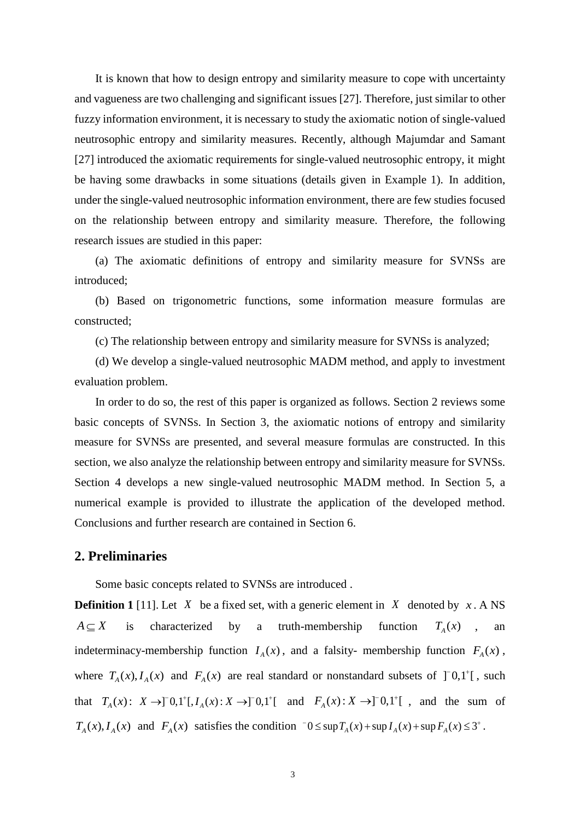It is known that how to design entropy and similarity measure to cope with uncertainty and vagueness are two challenging and significant issues [27]. Therefore, just similar to other fuzzy information environment, it is necessary to study the axiomatic notion of single-valued neutrosophic entropy and similarity measures. Recently, although Majumdar and Samant [27] introduced the axiomatic requirements for single-valued neutrosophic entropy, it might be having some drawbacks in some situations (details given in Example 1). In addition, under the single-valued neutrosophic information environment, there are few studies focused on the relationship between entropy and similarity measure. Therefore, the following research issues are studied in this paper:

(a) The axiomatic definitions of entropy and similarity measure for SVNSs are introduced;

(b) Based on trigonometric functions, some information measure formulas are constructed;

(c) The relationship between entropy and similarity measure for SVNSs is analyzed;

(d) We develop a single-valued neutrosophic MADM method, and apply to investment evaluation problem.

In order to do so, the rest of this paper is organized as follows. Section 2 reviews some basic concepts of SVNSs. In Section 3, the axiomatic notions of entropy and similarity measure for SVNSs are presented, and several measure formulas are constructed. In this section, we also analyze the relationship between entropy and similarity measure for SVNSs. Section 4 develops a new single-valued neutrosophic MADM method. In Section 5, a numerical example is provided to illustrate the application of the developed method. Conclusions and further research are contained in Section 6.

# **2. Preliminaries**

Some basic concepts related to SVNSs are introduced .

**Definition 1** [11]. Let  $X$  be a fixed set, with a generic element in  $X$  denoted by  $x \cdot A$  NS  $A \subset X$ is characterized by a truth-membership function  $T_A(x)$ , an indeterminacy-membership function  $I_A(x)$ , and a falsity- membership function  $F_A(x)$ , where  $T_A(x)$ ,  $I_A(x)$  and  $F_A(x)$  are real standard or nonstandard subsets of  $]^{-0}0,1^{\dagger}[$ , such that  $T_A(x)$ :  $X \to ][0,1^+[, I_A(x): X \to ][0,1^+[$  and  $F_A(x): X \to ][0,1^+]$ , and the sum of  $T_A(x)$ ,  $I_A(x)$  and  $F_A(x)$  satisfies the condition  $0 \le \sup T_A(x) + \sup I_A(x) + \sup F_A(x) \le 3^+$ .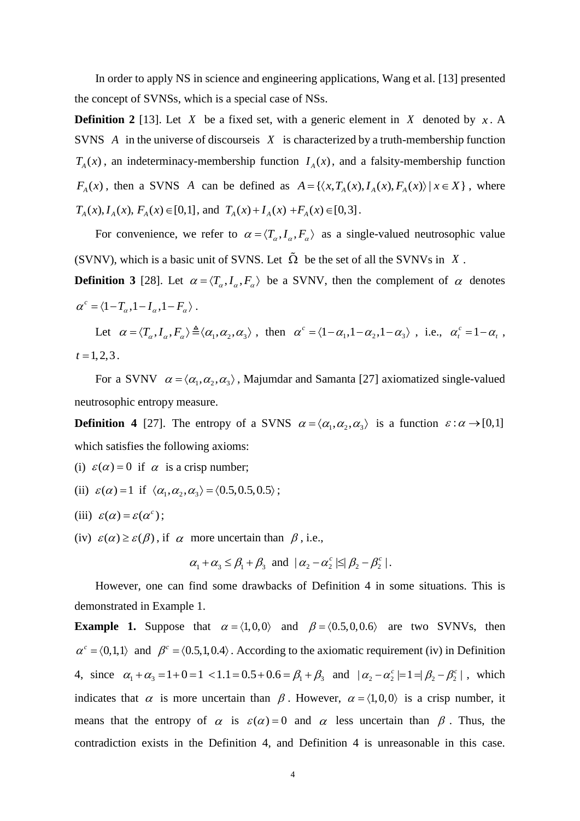In order to apply NS in science and engineering applications, Wang et al. [13] presented the concept of SVNSs, which is a special case of NSs.

**Definition 2** [13]. Let X be a fixed set, with a generic element in X denoted by  $x$ . A SVNS  $\vec{A}$  in the universe of discourse is  $\vec{X}$  is characterized by a truth-membership function  $T_A(x)$ , an indeterminacy-membership function  $I_A(x)$ , and a falsity-membership function  $F_A(x)$ , then a SVNS A can be defined as  $A = \{ \langle x, T_A(x), I_A(x), F_A(x) \rangle | x \in X \}$ , where  $T_A(x)$ ,  $I_A(x)$ ,  $F_A(x) \in [0,1]$ , and  $T_A(x) + I_A(x) + F_A(x) \in [0,3]$ .

For convenience, we refer to  $\alpha = \langle T_\alpha, I_\alpha, F_\alpha \rangle$  as a single-valued neutrosophic value (SVNV), which is a basic unit of SVNS. Let  $\Omega$  be the set of all the SVNVs in X.

**Definition 3** [28]. Let  $\alpha = \langle T_\alpha, I_\alpha, F_\alpha \rangle$  be a SVNV, then the complement of  $\alpha$  denotes  $\alpha^c = \langle 1 - T_\alpha , 1 - I_\alpha , 1 - F_\alpha \rangle$ .

Let  $\alpha = \langle T_\alpha, I_\alpha, F_\alpha \rangle \triangleq \langle \alpha_1, \alpha_2, \alpha_3 \rangle$ , then  $\alpha^c = \langle 1 - \alpha_1, 1 - \alpha_2, 1 - \alpha_3 \rangle$ , i.e.,  $\alpha^c_t = 1 - \alpha_t$ ,  $t = 1, 2, 3$ .

For a SVNV  $\alpha = \langle \alpha_1, \alpha_2, \alpha_3 \rangle$ , Majumdar and Samanta [27] axiomatized single-valued neutrosophic entropy measure.

**Definition 4** [27]. The entropy of a SVNS  $\alpha = \langle \alpha_1, \alpha_2, \alpha_3 \rangle$  is a function  $\varepsilon : \alpha \to [0,1]$ which satisfies the following axioms:

- (i)  $\varepsilon(\alpha) = 0$  if  $\alpha$  is a crisp number;
- (ii)  $\varepsilon(\alpha) = 1$  if  $\langle \alpha_1, \alpha_2, \alpha_3 \rangle = \langle 0.5, 0.5, 0.5 \rangle$ ;
- (iii)  $\varepsilon(\alpha) = \varepsilon(\alpha^c)$ ;
- (iv)  $\varepsilon(\alpha) \geq \varepsilon(\beta)$ , if  $\alpha$  more uncertain than  $\beta$ , i.e.,

$$
\alpha_1 + \alpha_3 \leq \beta_1 + \beta_3
$$
 and  $|\alpha_2 - \alpha_2^c| \leq |\beta_2 - \beta_2^c|$ .

However, one can find some drawbacks of Definition 4 in some situations. This is demonstrated in Example 1.

**Example 1.** Suppose that  $\alpha = \langle 1,0,0 \rangle$  and  $\beta = \langle 0.5,0,0.6 \rangle$  are two SVNVs, then  $\alpha^c = (0,1,1)$  and  $\beta^c = (0.5,1,0.4)$ . According to the axiomatic requirement (iv) in Definition 4, since  $\alpha_1 + \alpha_3 = 1 + 0 = 1 < 1.1 = 0.5 + 0.6 = \beta_1 + \beta_3$  and  $|\alpha_2 - \alpha_2^c| = 1 = |\beta_2 - \beta_2^c|$ , which indicates that  $\alpha$  is more uncertain than  $\beta$ . However,  $\alpha = \langle 1, 0, 0 \rangle$  is a crisp number, it means that the entropy of  $\alpha$  is  $\varepsilon(\alpha) = 0$  and  $\alpha$  less uncertain than  $\beta$ . Thus, the contradiction exists in the Definition 4, and Definition 4 is unreasonable in this case.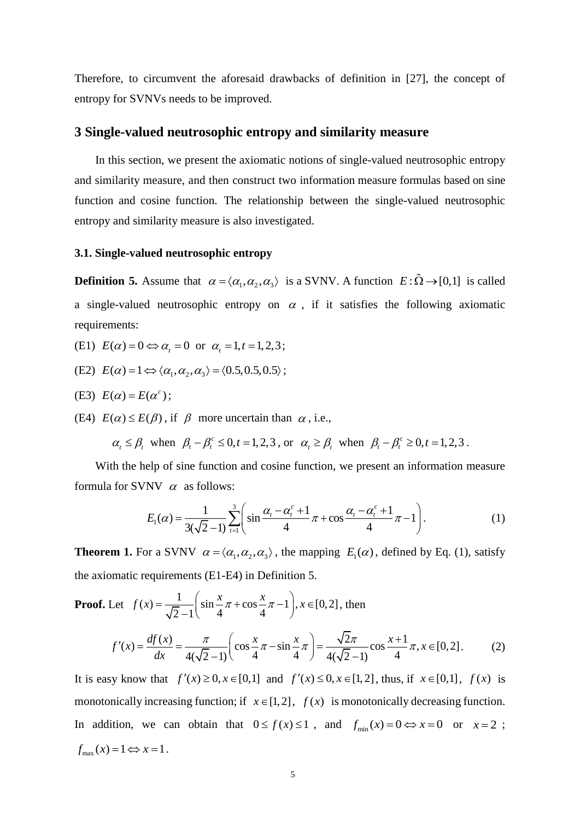Therefore, to circumvent the aforesaid drawbacks of definition in [27], the concept of entropy for SVNVs needs to be improved.

# **3 Single-valued neutrosophic entropy and similarity measure**

In this section, we present the axiomatic notions of single-valued neutrosophic entropy and similarity measure, and then construct two information measure formulas based on sine function and cosine function. The relationship between the single-valued neutrosophic entropy and similarity measure is also investigated.

#### **3.1. Single-valued neutrosophic entropy**

**Definition 5.** Assume that  $\alpha = \langle \alpha_1, \alpha_2, \alpha_3 \rangle$  is a SVNV. A function  $E : \tilde{\Omega} \to [0,1]$  is called a single-valued neutrosophic entropy on  $\alpha$ , if it satisfies the following axiomatic requirements:

- (E1)  $E(\alpha) = 0 \Leftrightarrow \alpha_t = 0 \text{ or } \alpha_t = 1, t = 1, 2, 3;$
- (E2)  $E(\alpha) = 1 \Leftrightarrow \langle \alpha_1, \alpha_2, \alpha_3 \rangle = \langle 0.5, 0.5, 0.5 \rangle;$

(E3) 
$$
E(\alpha) = E(\alpha^c)
$$
;

(E4)  $E(\alpha) \le E(\beta)$ , if  $\beta$  more uncertain than  $\alpha$ , i.e.,

 $\alpha_t \leq \beta_t$ , when  $\beta_t - \beta_t^c \leq 0, t = 1, 2, 3$ , or  $\alpha_t \geq \beta_t$ , when  $\beta_t - \beta_t^c \geq 0, t = 1, 2, 3$ .

With the help of sine function and cosine function, we present an information measure formula for SVNV  $\alpha$  as follows:

NV 
$$
\alpha
$$
 as follows:  
\n
$$
E_1(\alpha) = \frac{1}{3(\sqrt{2}-1)} \sum_{t=1}^{3} \left( \sin \frac{\alpha_t - \alpha_t^c + 1}{4} \pi + \cos \frac{\alpha_t - \alpha_t^c + 1}{4} \pi - 1 \right).
$$
\n(1)

**Theorem 1.** For a SVNV  $\alpha = \langle \alpha_1, \alpha_2, \alpha_3 \rangle$ , the mapping  $E_1(\alpha)$ , defined by Eq. (1), satisfy

the axiomatic requirements (E1-E4) in Definition 5.  
\n**Proof.** Let 
$$
f(x) = \frac{1}{\sqrt{2}-1} \left( \sin \frac{x}{4}\pi + \cos \frac{x}{4}\pi - 1 \right), x \in [0, 2]
$$
, then  
\n
$$
f'(x) = \frac{df(x)}{dx} = \frac{\pi}{4(\sqrt{2}-1)} \left( \cos \frac{x}{4}\pi - \sin \frac{x}{4}\pi \right) = \frac{\sqrt{2}\pi}{4(\sqrt{2}-1)} \cos \frac{x+1}{4}\pi, x \in [0, 2]
$$
\n
$$
\text{It is easy how that, } f'(x) > 0, x \in [0, 1]
$$
 and  $f'(x) \le 0, x \in [1, 2]$ , thus if  $x \in [0, 1]$ ,  $f(x) \ne 0$ , is

It is easy know that  $f'(x) \ge 0, x \in [0,1]$  and  $f'(x) \le 0, x \in [1,2]$ , thus, if  $x \in [0,1]$ ,  $f(x)$  is monotonically increasing function; if  $x \in [1, 2]$ ,  $f(x)$  is monotonically decreasing function. In addition, we can obtain that  $0 \le f(x) \le 1$ , and  $f_{min}(x) = 0 \Leftrightarrow x = 0$  or  $x = 2$ ;  $f_{\text{max}}(x) = 1 \Leftrightarrow x = 1$ .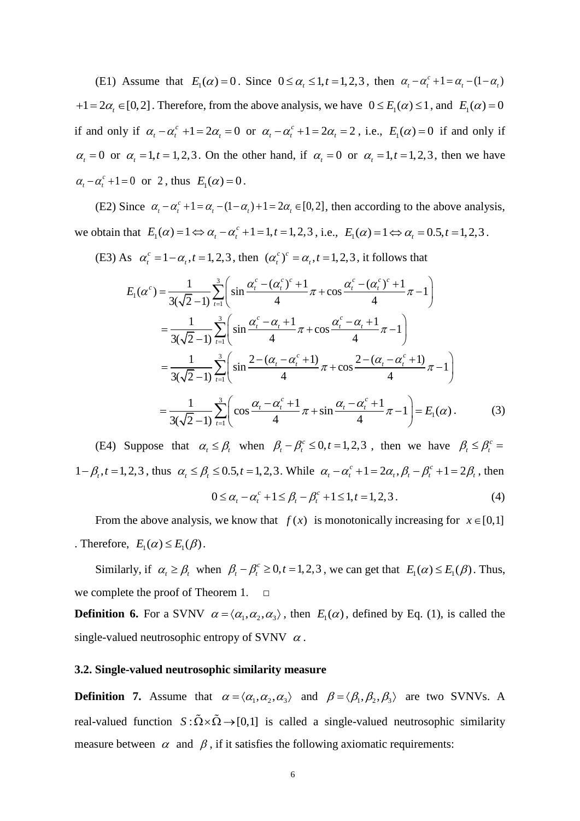(E1) Assume that  $E_1(\alpha) = 0$ . Since  $0 \le \alpha_t \le 1, t = 1, 2, 3$ , then  $\alpha_t - \alpha_t^c + 1 = \alpha_t - (1 - \alpha_t)$  $+1 = 2\alpha$ ,  $\in [0,2]$ . Therefore, from the above analysis, we have  $0 \le E_1(\alpha) \le 1$ , and  $E_1(\alpha) = 0$ if and only if  $\alpha_t - \alpha_t^c + 1 = 2\alpha_t = 0$  or  $\alpha_t - \alpha_t^c + 1 = 2\alpha_t = 2$ , i.e.,  $E_1(\alpha) = 0$  if and only if  $\alpha_t = 0$  or  $\alpha_t = 1, t = 1, 2, 3$ . On the other hand, if  $\alpha_t = 0$  or  $\alpha_t = 1, t = 1, 2, 3$ , then we have  $\alpha_t - \alpha_t^c + 1 = 0$  or 2, thus  $E_1(\alpha) = 0$ .

(E2) Since  $\alpha_i - \alpha_i^c + 1 = \alpha_i - (1 - \alpha_i) + 1 = 2\alpha_i \in [0, 2]$ , then according to the above analysis, we obtain that  $E_1(\alpha) = 1 \Leftrightarrow \alpha_t - \alpha_t^c + 1 = 1, t = 1, 2, 3$ , i.e.,  $E_1(\alpha) = 1 \Leftrightarrow \alpha_t = 0.5, t = 1, 2, 3$ .

(E3) As  $\alpha_i^c = 1 - \alpha_i$ ,  $t = 1, 2, 3$ , then  $(\alpha_i^c)^c = \alpha_i$ ,  $t = 1, 2, 3$ , it follows that

$$
\alpha_{t}^{c} = 1 - \alpha_{t}, t = 1, 2, 3, \text{ then } (\alpha_{t}^{c})^{c} = \alpha_{t}, t = 1, 2, 3, \text{ it follows that}
$$
\n
$$
E_{1}(\alpha^{c}) = \frac{1}{3(\sqrt{2}-1)} \sum_{t=1}^{3} \left( \sin \frac{\alpha_{t}^{c} - (\alpha_{t}^{c})^{c} + 1}{4} \pi + \cos \frac{\alpha_{t}^{c} - (\alpha_{t}^{c})^{c} + 1}{4} \pi - 1 \right)
$$
\n
$$
= \frac{1}{3(\sqrt{2}-1)} \sum_{t=1}^{3} \left( \sin \frac{\alpha_{t}^{c} - \alpha_{t} + 1}{4} \pi + \cos \frac{\alpha_{t}^{c} - \alpha_{t} + 1}{4} \pi - 1 \right)
$$
\n
$$
= \frac{1}{3(\sqrt{2}-1)} \sum_{t=1}^{3} \left( \sin \frac{2 - (\alpha_{t} - \alpha_{t}^{c} + 1)}{4} \pi + \cos \frac{2 - (\alpha_{t} - \alpha_{t}^{c} + 1)}{4} \pi - 1 \right)
$$
\n
$$
= \frac{1}{3(\sqrt{2}-1)} \sum_{t=1}^{3} \left( \cos \frac{\alpha_{t} - \alpha_{t}^{c} + 1}{4} \pi + \sin \frac{\alpha_{t} - \alpha_{t}^{c} + 1}{4} \pi - 1 \right) = E_{1}(\alpha).
$$
\n(3)

(E4) Suppose that  $\alpha_t \leq \beta_t$  when  $\beta_t - \beta_t^c \leq 0, t = 1, 2, 3$ , then we have  $\beta_t \leq \beta_t^c =$  $1 - \beta_t$ ,  $t = 1,2,3$ , thus  $\alpha_t \le \beta_t \le 0.5$ ,  $t = 1,2,3$ . While  $\alpha_t - \alpha_t^c + 1 = 2\alpha_t$ ,  $\beta_t - \beta_t^c + 1 = 2\beta_t$ , then  $0 \le \alpha_t - \alpha_t^c + 1 \le \beta_t - \beta_t^c + 1 \le 1, t = 1, 2, 3$  $(4)$ 

From the above analysis, we know that  $f(x)$  is monotonically increasing for  $x \in [0,1]$ . Therefore,  $E_1(\alpha) \le E_1(\beta)$ .

Similarly, if  $\alpha_t \ge \beta_t$  when  $\beta_t - \beta_t^c \ge 0, t = 1, 2, 3$ , we can get that  $E_1(\alpha) \le E_1(\beta)$ . Thus, we complete the proof of Theorem 1.

**Definition 6.** For a SVNV  $\alpha = \langle \alpha_1, \alpha_2, \alpha_3 \rangle$ , then  $E_1(\alpha)$ , defined by Eq. (1), is called the single-valued neutrosophic entropy of SVNV  $\alpha$ .

#### **3.2. Single-valued neutrosophic similarity measure**

**Definition 7.** Assume that  $\alpha = \langle \alpha_1, \alpha_2, \alpha_3 \rangle$  and  $\beta = \langle \beta_1, \beta_2, \beta_3 \rangle$  are two SVNVs. A real-valued function  $S: \tilde{\Omega} \times \tilde{\Omega} \rightarrow [0,1]$  is called a single-valued neutrosophic similarity measure between  $\alpha$  and  $\beta$ , if it satisfies the following axiomatic requirements: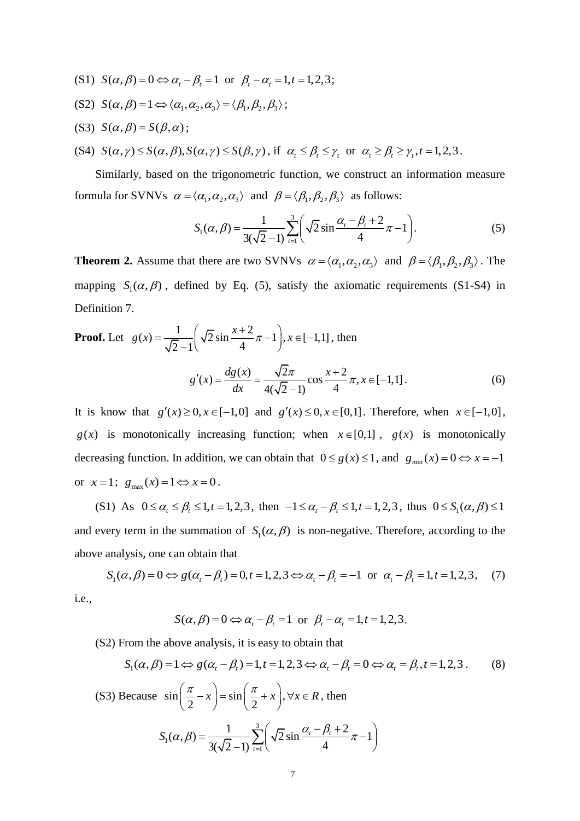- (S1)  $S(\alpha, \beta) = 0 \Leftrightarrow \alpha_t \beta_t = 1$  or  $\beta_t \alpha_t = 1, t = 1, 2, 3$ ;
- (S2)  $S(\alpha, \beta) = 1 \Leftrightarrow \langle \alpha_1, \alpha_2, \alpha_3 \rangle = \langle \beta_1, \beta_2, \beta_3 \rangle;$
- $(S3) S(\alpha, \beta) = S(\beta, \alpha);$
- (S4)  $S(\alpha, \gamma) \leq S(\alpha, \beta), S(\alpha, \gamma) \leq S(\beta, \gamma)$ , if  $\alpha_i \leq \beta_i \leq \gamma_i$  or  $\alpha_i \geq \beta_i \geq \gamma_i, t = 1, 2, 3$ .

Similarly, based on the trigonometric function, we construct an information measure formula for SVNVs  $\alpha = \langle \alpha_1, \alpha_2, \alpha_3 \rangle$  and  $\beta = \langle \beta_1, \beta_2, \beta_3 \rangle$  as follows:<br> $S_1(\alpha, \beta) = \frac{1}{\sqrt{2}} \sum_{n=1}^3 \left( \sqrt{2} \sin \frac{\alpha_i - \beta_i + 2}{\pi} \pi - 1 \right)$ .

$$
S_1(\alpha, \beta) = \frac{1}{3(\sqrt{2}-1)} \sum_{t=1}^{3} \left( \sqrt{2} \sin \frac{\alpha_t - \beta_t + 2}{4} \pi - 1 \right).
$$
 (5)

**Theorem 2.** Assume that there are two SVNVs  $\alpha = \langle \alpha_1, \alpha_2, \alpha_3 \rangle$  and  $\beta = \langle \beta_1, \beta_2, \beta_3 \rangle$ . The mapping  $S_1(\alpha, \beta)$ , defined by Eq. (5), satisfy the axiomatic requirements (S1-S4) in Definition 7.

Definition 7.

\nProof. Let 
$$
g(x) = \frac{1}{\sqrt{2} - 1} \left( \sqrt{2} \sin \frac{x+2}{4} \pi - 1 \right), x \in [-1, 1]
$$
, then

\n
$$
g'(x) = \frac{dg(x)}{dx} = \frac{\sqrt{2}\pi}{4(\sqrt{2} - 1)} \cos \frac{x+2}{4} \pi, x \in [-1, 1].
$$
\n(6)

It is know that  $g'(x) \ge 0, x \in [-1,0]$  and  $g'(x) \le 0, x \in [0,1]$ . Therefore, when  $x \in [-1,0]$ ,  $g(x)$  is monotonically increasing function; when  $x \in [0,1]$ ,  $g(x)$  is monotonically decreasing function. In addition, we can obtain that  $0 \le g(x) \le 1$ , and  $g_{min}(x) = 0 \Leftrightarrow x = -1$ or  $x=1$ ;  $g_{\text{max}}(x)=1 \Leftrightarrow x=0$ .

(S1) As  $0 \le \alpha_{t} \le \beta_{t} \le 1, t = 1, 2, 3$ , then  $-1 \le \alpha_{t} - \beta_{t} \le 1, t = 1, 2, 3$ , thus  $0 \le S_{1}(\alpha, \beta) \le 1$ and every term in the summation of  $S_1(\alpha, \beta)$  is non-negative. Therefore, according to the above analysis, one can obtain that<br>  $S_1(\alpha, \beta) = 0 \Leftrightarrow g(\alpha_t - \beta_t) = 0, t = 1, 2, 3 \Leftrightarrow \alpha_t - \beta_t = -1$  or  $\alpha_t$ 

$$
S_1(\alpha, \beta) = 0 \Leftrightarrow g(\alpha_t - \beta_t) = 0, t = 1, 2, 3 \Leftrightarrow \alpha_t - \beta_t = -1 \text{ or } \alpha_t - \beta_t = 1, t = 1, 2, 3, (7)
$$

i.e.,

$$
S(\alpha, \beta) = 0 \Leftrightarrow \alpha_t - \beta_t = 1 \text{ or } \beta_t - \alpha_t = 1, t = 1, 2, 3.
$$

(S2) From the above analysis, it is easy to obtain that

$$
S(\alpha, \beta) = 0 \Leftrightarrow \alpha_{t} - \beta_{t} = 1 \text{ or } \beta_{t} - \alpha_{t} = 1, t = 1, 2, 3.
$$
  
From the above analysis, it is easy to obtain that  

$$
S_{1}(\alpha, \beta) = 1 \Leftrightarrow g(\alpha_{t} - \beta_{t}) = 1, t = 1, 2, 3 \Leftrightarrow \alpha_{t} - \beta_{t} = 0 \Leftrightarrow \alpha_{t} = \beta_{t}, t = 1, 2, 3.
$$
 (8)

(S3) Because 
$$
\sin\left(\frac{\pi}{2} - x\right) = \sin\left(\frac{\pi}{2} + x\right), \forall x \in R
$$
, then  

$$
S_1(\alpha, \beta) = \frac{1}{3(\sqrt{2} - 1)} \sum_{t=1}^{3} \left(\sqrt{2} \sin \frac{\alpha_t - \beta_t + 2}{4} \pi - 1\right)
$$

1

*t*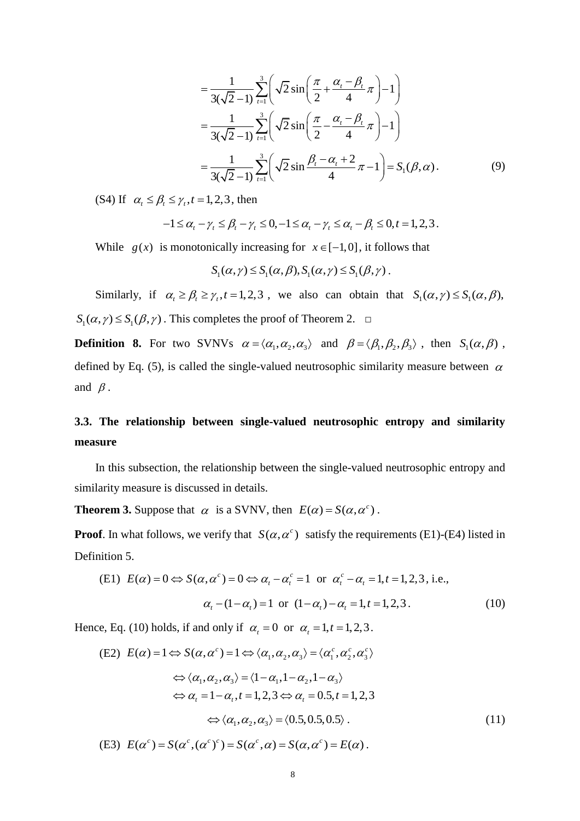$$
= \frac{1}{3(\sqrt{2}-1)} \sum_{t=1}^{3} \left( \sqrt{2} \sin\left(\frac{\pi}{2} + \frac{\alpha_t - \beta_t}{4}\pi\right) - 1 \right)
$$
  

$$
= \frac{1}{3(\sqrt{2}-1)} \sum_{t=1}^{3} \left( \sqrt{2} \sin\left(\frac{\pi}{2} - \frac{\alpha_t - \beta_t}{4}\pi\right) - 1 \right)
$$
  

$$
= \frac{1}{3(\sqrt{2}-1)} \sum_{t=1}^{3} \left( \sqrt{2} \sin\frac{\beta_t - \alpha_t + 2}{4}\pi - 1 \right) = S_1(\beta, \alpha).
$$
 (9)

(S4) If  $\alpha_t \leq \beta_t \leq \gamma_t$ ,  $t = 1, 2, 3$ , then

$$
\beta_{t} \leq \gamma_{t}, t = 1, 2, 3, \text{ then}
$$
  
-1 \leq \alpha\_{t} - \gamma\_{t} \leq \beta\_{t} - \gamma\_{t} \leq 0, -1 \leq \alpha\_{t} - \gamma\_{t} \leq \alpha\_{t} - \beta\_{t} \leq 0, t = 1, 2, 3.

While  $g(x)$  is monotonically increasing for  $x \in [-1,0]$ , it follows that<br>  $S_1(\alpha, \gamma) \le S_1(\alpha, \beta), S_1(\alpha, \gamma) \le S_1(\beta, \gamma)$ .

$$
S_1(\alpha, \gamma) \leq S_1(\alpha, \beta), S_1(\alpha, \gamma) \leq S_1(\beta, \gamma)
$$

Similarly, if  $\alpha_i \ge \beta_i \ge \gamma_i$ ,  $t = 1, 2, 3$ , we also can obtain that  $S_1(\alpha, \gamma) \le S_1(\alpha, \beta)$ ,  $S_1(\alpha, \gamma) \le S_1(\beta, \gamma)$ . This completes the proof of Theorem 2. □

**Definition 8.** For two SVNVs  $\alpha = \langle \alpha_1, \alpha_2, \alpha_3 \rangle$  and  $\beta = \langle \beta_1, \beta_2, \beta_3 \rangle$ , then  $S_1(\alpha, \beta)$ , defined by Eq. (5), is called the single-valued neutrosophic similarity measure between  $\alpha$ and  $\beta$ .

# **3.3. The relationship between single-valued neutrosophic entropy and similarity measure**

In this subsection, the relationship between the single-valued neutrosophic entropy and similarity measure is discussed in details.

**Theorem 3.** Suppose that  $\alpha$  is a SVNV, then  $E(\alpha) = S(\alpha, \alpha^c)$ .

**Proof**. In what follows, we verify that  $S(\alpha, \alpha^c)$  satisfy the requirements (E1)-(E4) listed in Definition 5.

(E1) 
$$
E(\alpha) = 0 \Leftrightarrow S(\alpha, \alpha^c) = 0 \Leftrightarrow \alpha_t - \alpha_t^c = 1
$$
 or  $\alpha_t^c - \alpha_t = 1, t = 1, 2, 3$ , i.e.,  

$$
\alpha_t - (1 - \alpha_t) = 1
$$
 or  $(1 - \alpha_t) - \alpha_t = 1, t = 1, 2, 3$ . (10)

Hence, Eq. (10) holds, if and only if 
$$
\alpha_t = 0
$$
 or  $\alpha_t = 1, t = 1, 2, 3$ .  
\n(E2)  $E(\alpha) = 1 \Leftrightarrow S(\alpha, \alpha^c) = 1 \Leftrightarrow \langle \alpha_1, \alpha_2, \alpha_3 \rangle = \langle \alpha_1^c, \alpha_2^c, \alpha_3^c \rangle$   
\n $\Leftrightarrow \langle \alpha_1, \alpha_2, \alpha_3 \rangle = \langle 1 - \alpha_1, 1 - \alpha_2, 1 - \alpha_3 \rangle$   
\n $\Leftrightarrow \alpha_t = 1 - \alpha_t, t = 1, 2, 3 \Leftrightarrow \alpha_t = 0.5, t = 1, 2, 3$   
\n $\Leftrightarrow \langle \alpha_1, \alpha_2, \alpha_3 \rangle = \langle 0.5, 0.5, 0.5 \rangle$ .  
\n(E3)  $E(\alpha^c) = S(\alpha^c, (\alpha^c)^c) = S(\alpha^c, \alpha) = S(\alpha, \alpha^c) = E(\alpha)$ .  
\n(11)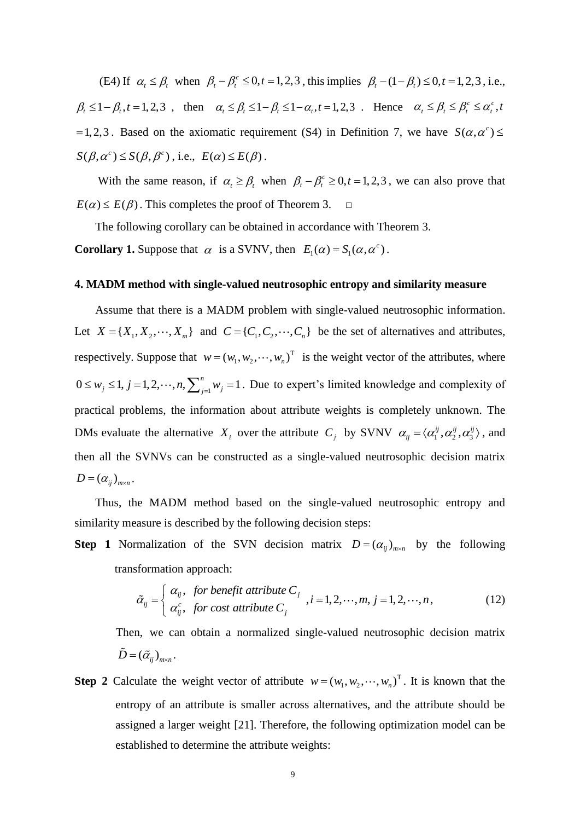(E4) If  $\alpha_t \le \beta_t$  when  $\beta_t - \beta_t^c \le 0, t = 1, 2, 3$ , this implies  $\beta_t - (1 - \beta_t) \le 0, t = 1, 2, 3$ , i.e.,  $\beta_t \leq 1 - \beta_t$ ,  $t = 1,2,3$ , then  $\alpha_t \leq \beta_t \leq 1 - \beta_t \leq 1 - \alpha_t$ ,  $t = 1,2,3$ . Hence  $\alpha_t \leq \beta_t \leq \beta_t^c \leq \alpha_t^c$ , t  $= 1, 2, 3$ . Based on the axiomatic requirement (S4) in Definition 7, we have  $S(\alpha, \alpha^c) \leq$  $S(\beta, \alpha^c) \leq S(\beta, \beta^c)$ , i.e.,  $E(\alpha) \leq E(\beta)$ .

With the same reason, if  $\alpha_t \ge \beta_t$  when  $\beta_t - \beta_t^c \ge 0, t = 1, 2, 3$ , we can also prove that  $E(\alpha) \leq E(\beta)$ . This completes the proof of Theorem 3. □

The following corollary can be obtained in accordance with Theorem 3.

**Corollary 1.** Suppose that  $\alpha$  is a SVNV, then  $E_1(\alpha) = S_1(\alpha, \alpha^c)$ .

#### **4. MADM method with single-valued neutrosophic entropy and similarity measure**

Assume that there is a MADM problem with single-valued neutrosophic information. Let  $X = \{X_1, X_2, \dots, X_m\}$  and  $C = \{C_1, C_2, \dots, C_n\}$  be the set of alternatives and attributes, respectively. Suppose that  $w = (w_1, w_2, \dots, w_n)^\text{T}$  is the weight vector of the attributes, where  $0 \le w_j \le 1, j = 1, 2, \dots, n, \sum_{j=1}^n w_j = 1$ . Due to expert's limited knowledge and complexity of practical problems, the information about attribute weights is completely unknown. The DMs evaluate the alternative  $X_i$  over the attribute  $C_j$  by SVNV  $\alpha_{ij} = \langle \alpha_1^{ij}, \alpha_2^{ij}, \alpha_3^{ij} \rangle$ , and then all the SVNVs can be constructed as a single-valued neutrosophic decision matrix  $D = (\alpha_{ij})_{m \times n}$ .

Thus, the MADM method based on the single-valued neutrosophic entropy and similarity measure is described by the following decision steps:

**Step 1** Normalization of the SVN decision matrix  $D = (\alpha_{ij})_{m \times n}$  by the following transformation approach: *for benefit attribute C*

sformation approach:  
\n
$$
\tilde{\alpha}_{ij} = \begin{cases}\n\alpha_{ij}, & \text{for benefit attribute } C_j \\
\alpha_{ij}^c, & \text{for cost attribute } C_j\n\end{cases}, i = 1, 2, \cdots, m, j = 1, 2, \cdots, n,
$$
\n(12)

Then, we can obtain a normalized single-valued neutrosophic decision matrix  $\tilde{D}$  =  $\left(\tilde{\alpha}_{_{ij}}\right)_{m\times n}$  .

**Step 2** Calculate the weight vector of attribute  $w = (w_1, w_2, \dots, w_n)^T$ . It is known that the entropy of an attribute is smaller across alternatives, and the attribute should be assigned a larger weight [21]. Therefore, the following optimization model can be established to determine the attribute weights: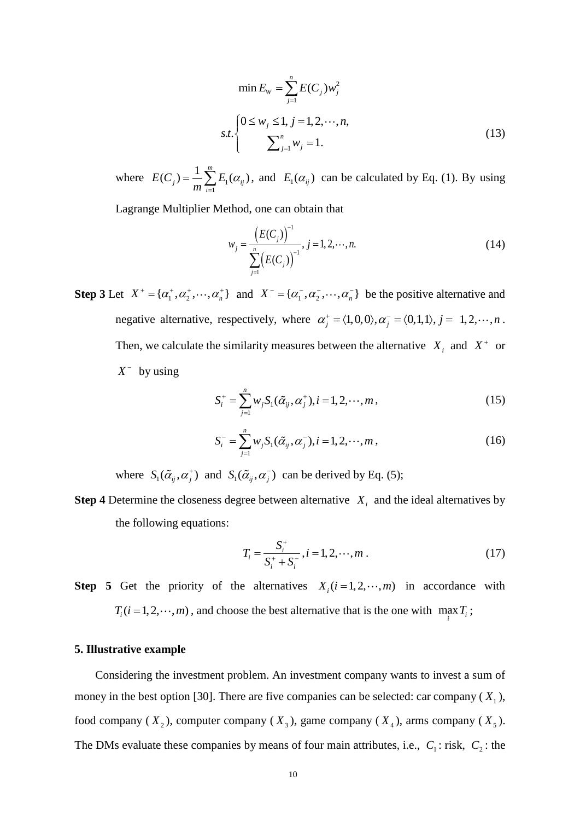$$
\min E_{w} = \sum_{j=1}^{n} E(C_{j}) w_{j}^{2}
$$
  
s.t. 
$$
\begin{cases} 0 \le w_{j} \le 1, j = 1, 2, \cdots, n, \\ \sum_{j=1}^{n} w_{j} = 1. \end{cases}
$$
 (13)

where  $E(C_j) = -\sum E_j$ 1  $(C_i) = \frac{1}{2} \sum_{i=1}^{m} E_i(\alpha_{ij})$  $j_j = \frac{1}{m} \sum_{i=1}^{n} E_i(\alpha_{ij})$  $E(C_i) = \frac{1}{2} \sum_{i=1}^{m} E_i$  $\sum_{i=1}^{\infty} E_1(\alpha)$  $=\frac{1}{m}\sum_{i=1}^{n}E_1(\alpha_{ij})$ , and  $E_1(\alpha_{ij})$  can be calculated by Eq. (1). By using

Lagrange Multiplier Method, one can obtain that

$$
w_j = \frac{\left(E(C_j)\right)^{-1}}{\sum_{j=1}^n \left(E(C_j)\right)^{-1}}, j = 1, 2, \cdots, n. \tag{14}
$$

 $\sum_{j=1}^{n} E(C_j) w_j^2$ <br>  $j = 1, 2, \dots,$ <br>  $i = 1, 2, \dots,$ <br>  $i = 1, 2, \dots,$ <br>  $\sum_i (\alpha_{ij})$  can<br>  $i = 1, 2, \dots,$ <br>  $i = 1, 2, \dots$ <br>  $i = \alpha_j^+ =$ <br>  $i = 1, 2, \dots,$ <br>  $i = 1, 2, \dots,$ <br>  $i = 1, 2, \dots,$ <br>  $i = 1, 2, \dots,$ <br>  $i = 1, 2, \dots,$ <br>  $i = 1, 2, \dots,$ <br>  $i = 1,$ **Step 3** Let  $X^+ = {\alpha_1^*, \alpha_2^*, \cdots, \alpha_n^*}$  and  $X^- = {\alpha_1^*, \alpha_2^*, \cdots, \alpha_n^-}$  be the positive alternative and negative alternative, respectively, where  $\alpha_j^+ = \langle 1, 0, 0 \rangle, \alpha_j^- = \langle 0, 1, 1 \rangle, j = 1, 2, \dots, n$ . Then, we calculate the similarity measures between the alternative  $X_i$  and  $X^+$  or  $X^-$  by using

$$
S_i^+ = \sum_{j=1}^n w_j S_1(\tilde{\alpha}_{ij}, \alpha_j^+), i = 1, 2, \cdots, m,
$$
\n(15)

$$
S_i^- = \sum_{j=1}^n w_j S_1(\tilde{\alpha}_{ij}, \alpha_j^-), i = 1, 2, \cdots, m,
$$
 (16)

where  $S_1(\tilde{\alpha}_{ij}, \alpha_j^+)$  and  $S_1(\tilde{\alpha}_{ij}, \alpha_j^-)$  can be derived by Eq. (5);

**Step 4** Determine the closeness degree between alternative  $X_i$  and the ideal alternatives by the following equations:

$$
T_i = \frac{S_i^+}{S_i^+ + S_i^-}, i = 1, 2, \cdots, m
$$
 (17)

**Step 5** Get the priority of the alternatives  $X_i$  ( $i = 1, 2, \dots, m$ ) in accordance with  $T_i$  (*i* = 1, 2,  $\cdots$ , *m*), and choose the best alternative that is the one with  $\max_i T_i$ ;

#### **5. Illustrative example**

Considering the investment problem. An investment company wants to invest a sum of money in the best option [30]. There are five companies can be selected: car company  $(X_1)$ , food company  $(X_2)$ , computer company  $(X_3)$ , game company  $(X_4)$ , arms company  $(X_5)$ . The DMs evaluate these companies by means of four main attributes, i.e.,  $C_1$ : risk,  $C_2$ : the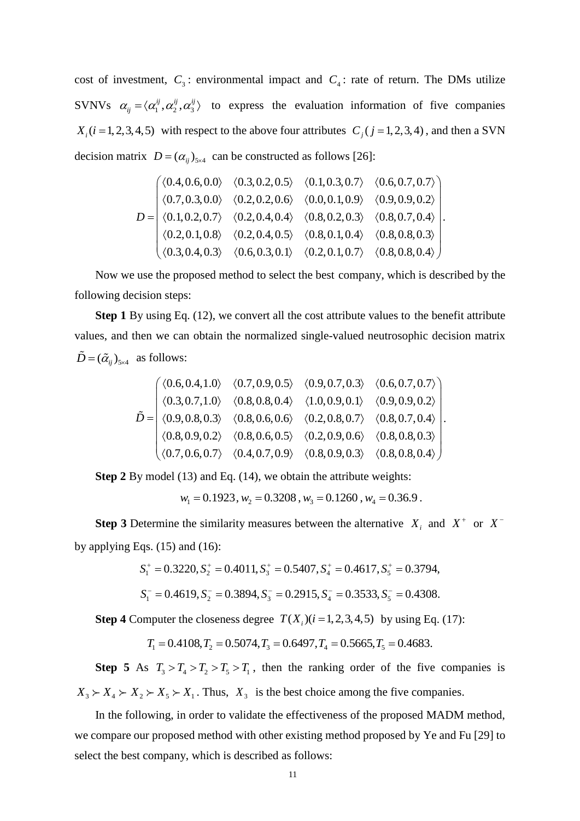cost of investment,  $C_3$ : environmental impact and  $C_4$ : rate of return. The DMs utilize SVNVs  $\alpha_{ij} = \langle \alpha_1^{ij}, \alpha_2^{ij}, \alpha_3^{ij} \rangle$  to express the evaluation information of five companies  $X_i$  ( $i = 1, 2, 3, 4, 5$ ) with respect to the above four attributes  $C_j$  ( $j = 1, 2, 3, 4$ ), and then a SVN

decision matrix 
$$
D = (\alpha_{ij})_{5\times4}
$$
 can be constructed as follows [26]:  
\n
$$
D = \begin{pmatrix} \langle 0.4, 0.6, 0.0 \rangle & \langle 0.3, 0.2, 0.5 \rangle & \langle 0.1, 0.3, 0.7 \rangle & \langle 0.6, 0.7, 0.7 \rangle \\ \langle 0.7, 0.3, 0.0 \rangle & \langle 0.2, 0.2, 0.6 \rangle & \langle 0.0, 0.1, 0.9 \rangle & \langle 0.9, 0.9, 0.2 \rangle \\ \langle 0.1, 0.2, 0.7 \rangle & \langle 0.2, 0.4, 0.4 \rangle & \langle 0.8, 0.2, 0.3 \rangle & \langle 0.8, 0.7, 0.4 \rangle \\ \langle 0.2, 0.1, 0.8 \rangle & \langle 0.2, 0.4, 0.5 \rangle & \langle 0.8, 0.1, 0.4 \rangle & \langle 0.8, 0.8, 0.3 \rangle \\ \langle 0.3, 0.4, 0.3 \rangle & \langle 0.6, 0.3, 0.1 \rangle & \langle 0.2, 0.1, 0.7 \rangle & \langle 0.8, 0.8, 0.4 \rangle \end{pmatrix}
$$

Now we use the proposed method to select the best company, which is described by the following decision steps:

**Step 1** By using Eq. (12), we convert all the cost attribute values to the benefit attribute values, and then we can obtain the normalized single-valued neutrosophic decision matrix  $\widetilde{D} = (\widetilde{\alpha}_{ij})_{5 \times 4}$  as follows: lows:<br> $\langle 0.6, 0.4, 1.0 \rangle \quad \langle 0.7, 0.9, 0.5 \rangle \quad \langle 0.9, 0.7, 0.3 \rangle \quad \langle 0.6, 0.7, 0.7 \rangle \Big\}$ 

as follows:  
\n
$$
\tilde{D} = \begin{pmatrix}\n\langle 0.6, 0.4, 1.0 \rangle & \langle 0.7, 0.9, 0.5 \rangle & \langle 0.9, 0.7, 0.3 \rangle & \langle 0.6, 0.7, 0.7 \rangle \\
\langle 0.3, 0.7, 1.0 \rangle & \langle 0.8, 0.8, 0.4 \rangle & \langle 1.0, 0.9, 0.1 \rangle & \langle 0.9, 0.9, 0.2 \rangle \\
\langle 0.9, 0.8, 0.3 \rangle & \langle 0.8, 0.6, 0.6 \rangle & \langle 0.2, 0.8, 0.7 \rangle & \langle 0.8, 0.7, 0.4 \rangle \\
\langle 0.8, 0.9, 0.2 \rangle & \langle 0.8, 0.6, 0.5 \rangle & \langle 0.2, 0.9, 0.6 \rangle & \langle 0.8, 0.8, 0.3 \rangle \\
\langle 0.7, 0.6, 0.7 \rangle & \langle 0.4, 0.7, 0.9 \rangle & \langle 0.8, 0.9, 0.3 \rangle & \langle 0.8, 0.8, 0.4 \rangle\n\end{pmatrix}
$$

**Step 2** By model (13) and Eq. (14), we obtain the attribute weights:

$$
w_1 = 0.1923
$$
,  $w_2 = 0.3208$ ,  $w_3 = 0.1260$ ,  $w_4 = 0.36.9$ .

**Step 3** Determine the similarity measures between the alternative  $X_i$  and  $X^+$  or  $X^$ by applying Eqs.  $(15)$  and  $(16)$ : qs. (15) and (16):<br> $S_1^+ = 0.3220, S_2^+ = 0.4011, S_3^+ = 0.5407, S_4^+ = 0.4617, S_5^+ = 0.3794,$ 

$$
S_1^+ = 0.3220, S_2^+ = 0.4011, S_3^+ = 0.5407, S_4^+ = 0.4617, S_5^+ = 0.3794,
$$
  
\n $S_1^- = 0.4619, S_2^- = 0.3894, S_3^- = 0.2915, S_4^- = 0.3533, S_5^- = 0.4308.$ 

$$
S_1^- = 0.4619
$$
,  $S_2^- = 0.3894$ ,  $S_3^- = 0.2915$ ,  $S_4^- = 0.3533$ ,  $S_5^- = 0.4308$ .

**Step 4** Computer the closeness degree  $T(X_i)(i=1,2,3,4,5)$  by using Eq. (17):

 $T_1 = 0.4108, T_2 = 0.5074, T_3 = 0.6497, T_4 = 0.5665, T_5 = 0.4683.$ 

**Step 5** As  $T_3 > T_4 > T_2 > T_5 > T_1$ , then the ranking order of the five companies is  $X_3 \succ X_4 \succ X_2 \succ X_5 \succ X_1$ . Thus,  $X_3$  is the best choice among the five companies.

In the following, in order to validate the effectiveness of the proposed MADM method, we compare our proposed method with other existing method proposed by Ye and Fu [29] to select the best company, which is described as follows: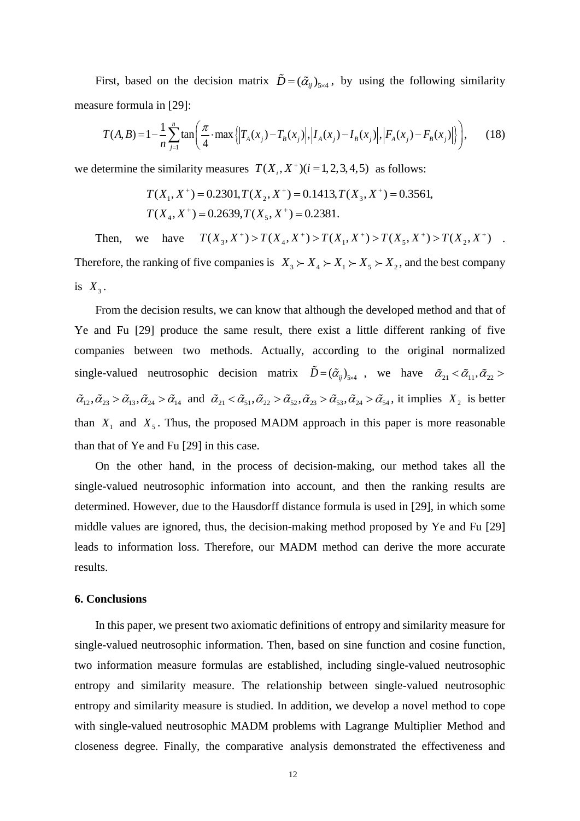First, based on the decision matrix  $\tilde{D} = (\tilde{\alpha}_{ij})_{5\times4}$ , by using the following similarity<br>sure formula in [29]:<br> $T(A, B) = 1 - \frac{1}{2} \sum_{i=1}^{n} \tan \left( \frac{\pi}{4} \cdot \max \left\{ |T_A(x_j) - T_B(x_j)|, |I_A(x_j) - I_B(x_j)|, |F_A(x_j) - F_B(x_j)| \right\} \right),$  (18) measure formula in [29]:

are formula in [29]:  
\n
$$
T(A,B) = 1 - \frac{1}{n} \sum_{j=1}^{n} \tan\left(\frac{\pi}{4} \cdot \max\left\{\left|T_A(x_j) - T_B(x_j)\right|, \left|I_A(x_j) - I_B(x_j)\right|, \left|F_A(x_j) - F_B(x_j)\right|\right\}\right),
$$
\n(18)

we determine the similarity measures 
$$
T(X_i, X^+)(i = 1, 2, 3, 4, 5)
$$
 as follows:  
\n $T(X_1, X^+) = 0.2301, T(X_2, X^+) = 0.1413, T(X_3, X^+) = 0.3561,$   
\n $T(X_4, X^+) = 0.2639, T(X_5, X^+) = 0.2381.$ 

 $T(X_4, X^+) = 0.2639, T(X_5, X^+) = 0.2381.$ <br>Then, we have  $T(X_3, X^+) > T(X_4, X^+) > T(X_1, X^+) > T(X_5, X^+) > T(X_2, X^+)$ . Therefore, the ranking of five companies is  $X_3 \succ X_4 \succ X_1 \succ X_5 \succ X_2$ , and the best company is  $X_3$ .

From the decision results, we can know that although the developed method and that of Ye and Fu [29] produce the same result, there exist a little different ranking of five companies between two methods. Actually, according to the original normalized single-valued neutrosophic decision matrix  $\ddot{D} = (\tilde{\alpha}_{ij})_{5\times 4}$ , we have  $\tilde{\alpha}_{21} < \tilde{\alpha}_{11}, \tilde{\alpha}_{22} > \tilde{\alpha}_{22}$  $\tilde{\alpha}_{12}, \tilde{\alpha}_{23} > \tilde{\alpha}_{13}, \tilde{\alpha}_{24} > \tilde{\alpha}_{14}$  and  $\tilde{\alpha}_{21} < \tilde{\alpha}_{51}, \tilde{\alpha}_{22} > \tilde{\alpha}_{52}, \tilde{\alpha}_{23} > \tilde{\alpha}_{53}, \tilde{\alpha}_{24} > \tilde{\alpha}_{54}$ , it implies  $X_2$  is better than  $X_1$  and  $X_5$ . Thus, the proposed MADM approach in this paper is more reasonable than that of Ye and Fu [29] in this case.

On the other hand, in the process of decision-making, our method takes all the single-valued neutrosophic information into account, and then the ranking results are determined. However, due to the Hausdorff distance formula is used in [29], in which some middle values are ignored, thus, the decision-making method proposed by Ye and Fu [29] leads to information loss. Therefore, our MADM method can derive the more accurate results.

#### **6. Conclusions**

In this paper, we present two axiomatic definitions of entropy and similarity measure for single-valued neutrosophic information. Then, based on sine function and cosine function, two information measure formulas are established, including single-valued neutrosophic entropy and similarity measure. The relationship between single-valued neutrosophic entropy and similarity measure is studied. In addition, we develop a novel method to cope with single-valued neutrosophic MADM problems with Lagrange Multiplier Method and closeness degree. Finally, the comparative analysis demonstrated the effectiveness and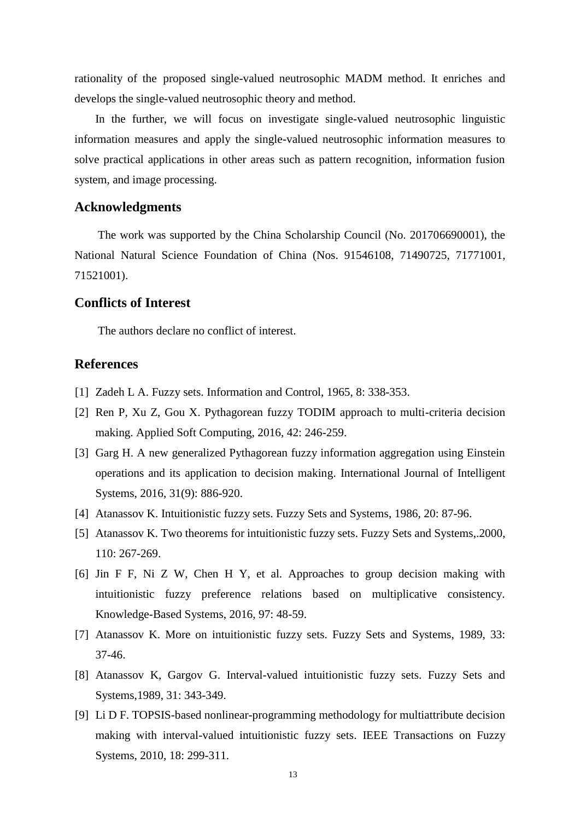rationality of the proposed single-valued neutrosophic MADM method. It enriches and develops the single-valued neutrosophic theory and method.

In the further, we will focus on investigate single-valued neutrosophic linguistic information measures and apply the single-valued neutrosophic information measures to solve practical applications in other areas such as pattern recognition, information fusion system, and image processing.

# **Acknowledgments**

The work was supported by the China Scholarship Council (No. 201706690001), the National Natural Science Foundation of China (Nos. 91546108, 71490725, 71771001, 71521001).

# **Conflicts of Interest**

The authors declare no conflict of interest.

# **References**

- [1] Zadeh L A. Fuzzy sets. Information and Control, 1965, 8: 338-353.
- [2] Ren P, Xu Z, Gou X. Pythagorean fuzzy TODIM approach to multi-criteria decision making. Applied Soft Computing, 2016, 42: 246-259.
- [3] Garg H. A new generalized Pythagorean fuzzy information aggregation using Einstein operations and its application to decision making. International Journal of Intelligent Systems, 2016, 31(9): 886-920.
- [4] Atanassov K. Intuitionistic fuzzy sets. Fuzzy Sets and Systems, 1986, 20: 87-96.
- [5] Atanassov K. Two theorems for intuitionistic fuzzy sets. Fuzzy Sets and Systems,.2000, 110: 267-269.
- [6] Jin F F, Ni Z W, Chen H Y, et al. Approaches to group decision making with intuitionistic fuzzy preference relations based on multiplicative consistency. Knowledge-Based Systems, 2016, 97: 48-59.
- [7] Atanassov K. More on intuitionistic fuzzy sets. Fuzzy Sets and Systems, 1989, 33: 37-46.
- [8] Atanassov K, Gargov G. Interval-valued intuitionistic fuzzy sets. Fuzzy Sets and Systems,1989, 31: 343-349.
- [9] Li D F. TOPSIS-based nonlinear-programming methodology for multiattribute decision making with interval-valued intuitionistic fuzzy sets. IEEE Transactions on Fuzzy Systems, 2010, 18: 299-311.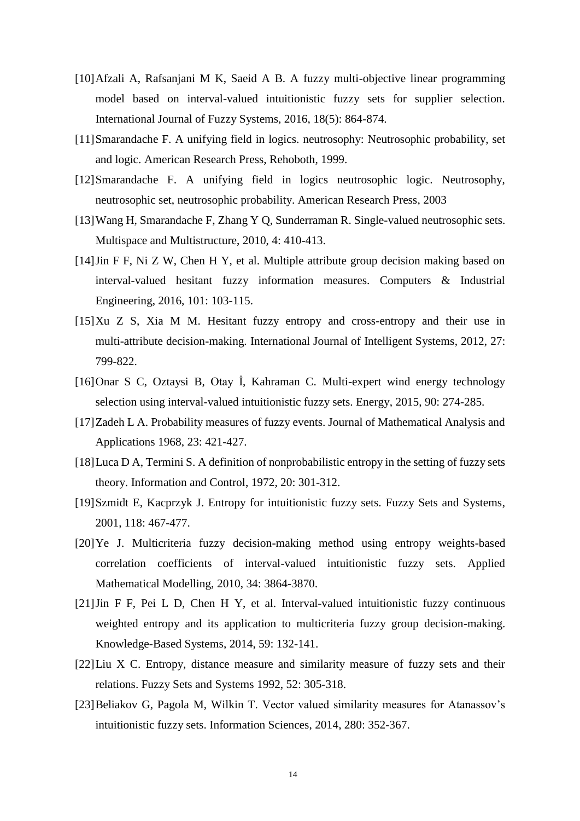- [10]Afzali A, Rafsanjani M K, Saeid A B. A fuzzy multi-objective linear programming model based on interval-valued intuitionistic fuzzy sets for supplier selection. International Journal of Fuzzy Systems, 2016, 18(5): 864-874.
- [11]Smarandache F. A unifying field in logics. neutrosophy: Neutrosophic probability, set and logic. American Research Press, Rehoboth, 1999.
- [12]Smarandache F. A unifying field in logics neutrosophic logic. Neutrosophy, neutrosophic set, neutrosophic probability. American Research Press, 2003
- [13]Wang H, Smarandache F, Zhang Y Q, Sunderraman R. Single-valued neutrosophic sets. Multispace and Multistructure, 2010, 4: 410-413.
- [14]Jin F F, Ni Z W, Chen H Y, et al. Multiple attribute group decision making based on interval-valued hesitant fuzzy information measures. Computers & Industrial Engineering, 2016, 101: 103-115.
- [15]Xu Z S, Xia M M. Hesitant fuzzy entropy and cross-entropy and their use in multi-attribute decision-making. International Journal of Intelligent Systems, 2012, 27: 799-822.
- [16]Onar S C, Oztaysi B, Otay İ, Kahraman C. Multi-expert wind energy technology selection using interval-valued intuitionistic fuzzy sets. Energy, 2015, 90: 274-285.
- [17]Zadeh L A. Probability measures of fuzzy events. Journal of Mathematical Analysis and Applications 1968, 23: 421-427.
- [18]Luca D A, Termini S. A definition of nonprobabilistic entropy in the setting of fuzzy sets theory. Information and Control, 1972, 20: 301-312.
- [19]Szmidt E, Kacprzyk J. Entropy for intuitionistic fuzzy sets. Fuzzy Sets and Systems, 2001, 118: 467-477.
- [20]Ye J. Multicriteria fuzzy decision-making method using entropy weights-based correlation coefficients of interval-valued intuitionistic fuzzy sets. Applied Mathematical Modelling, 2010, 34: 3864-3870.
- [21]Jin F F, Pei L D, Chen H Y, et al. Interval-valued intuitionistic fuzzy continuous weighted entropy and its application to multicriteria fuzzy group decision-making. Knowledge-Based Systems, 2014, 59: 132-141.
- [22]Liu X C. Entropy, distance measure and similarity measure of fuzzy sets and their relations. Fuzzy Sets and Systems 1992, 52: 305-318.
- [23]Beliakov G, Pagola M, Wilkin T. Vector valued similarity measures for Atanassov's intuitionistic fuzzy sets. Information Sciences, 2014, 280: 352-367.